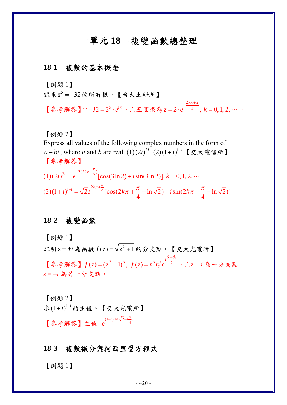# 單元 **18** 複變函數總整理

#### **18-1** 複數的基本概念

【例題 1】

試求 <sup>5</sup> *z* = −32的所有根。【台大土研所】

【參考解答】 : -32 = 2<sup>5</sup> · e<sup>iπ</sup>,∴五個根為 2  $2 \cdot e^{5}$ ,  $k = 0, 1, 2,$  $i \stackrel{2k}{\cdot}$  $z=2\cdot e^{-5}$ , k  $\frac{2k\pi + \pi}{\pi}$  $= 2 \cdot e^{5}$ ,  $k = 0, 1, 2, \cdots$ 

【例題 2】

Express all values of the following complex numbers in the form of *a* + *bi*, where *a* and *b* are real.  $(1)(2i)^{3i}$   $(2)(1+i)^{1-i}$  【交大電信所】 【參考解答】  $(1)(2i)^{3i} = e^{-3(2k\pi + \frac{\pi}{2})} [\cos(3\ln 2) + i \sin(3\ln 2)], k = 0, 1, 2,$  $= e^{-\frac{(2.1 \times 10^{-14})^2}{2}} [\cos(3\ln 2) + i \sin(3\ln 2)], k = 0, 1, 2, \cdots$ 

 $(2)(1+i)^{1-i} = \sqrt{2}e^{2k\pi + \frac{\pi}{4}}[\cos(2k\pi + \frac{\pi}{4} - \ln\sqrt{2}) + i\sin(2k\pi + \frac{\pi}{4} - \ln\sqrt{2})]$  $(+i)^{1-i} = \sqrt{2}e^{-2k\pi + \frac{\pi}{4}} [\cos(2k\pi + \frac{\pi}{4} - \ln \sqrt{2}) + i \sin(2k\pi + \frac{\pi}{4} - \frac{\pi}{4})]$ 

#### **18-2** 複變函數

【例題 1】

証明 *z i* = ± 為函數 <sup>2</sup> *fz z* () 1 = + 的分支點。【交大光電所】 【參考解答】  $\frac{1}{2}$   $\frac{1}{2}$   $\frac{1}{2}$   $\frac{\theta_1 + \theta_2}{2}$  $f(z) = (z^2 + 1)^{\frac{1}{2}}, \ f(z) = r_1^{\frac{1}{2}} r_2^{\frac{1}{2}} e^{i \frac{y_1}{2}}$  $\theta_1 + \theta$  $=(z^2+1)^2, f(z) = r_1^2r_2^2e^{-2}$  ,  $\therefore z = i$  為一分支點, *z* = −*i* 為另一分支點。

【例題 2】 求 <sup>1</sup> (1 ) *<sup>i</sup> i* <sup>−</sup> + 的主值。【交大光電所】 【參考解答】主值= $e^{(1-i)(\ln \sqrt{2}+i\frac{\pi}{4})}$  $-i$ )(ln  $\sqrt{2}+i\frac{\pi}{2}$ 

#### **18-3** 複數微分與柯西里曼方程式

【例題 1】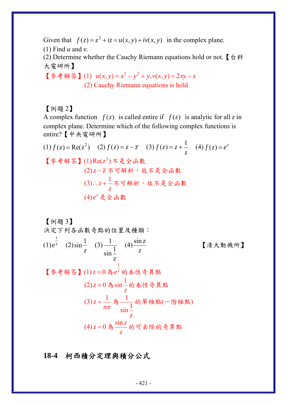Given that  $f(z) = z^2 + iz = u(x, y) + iv(x, y)$  in the complex plane.

(1) Find *u* and *v*.

(2) Determine whether the Cauchy Riemann equations hold or not. 【台科 大電研所】

【參考解答】(1)  $u(x, y) = x^2 - y^2 + y, v(x, y) = 2xy - x$ (2) Cauchy Riemann equations is hold

#### 【例題 2】

A complex function  $f(z)$  is called entire if  $f(z)$  is analytic for all z in complex plane. Determine which of the following complex functions is entire?【中央電研所】

(1) 
$$
f(z) = \text{Re}(z^2)
$$

\n(2)  $f(z) = z - \overline{z}$ 

\n(3)  $f(z) = z + \frac{1}{z}$ 

\n(4)  $f(z) = e^z$ 

\n[ $\oint$  等解等

\n(1)  $\text{Re}(z^2) \mathcal{F} \neq \mathcal{E} \mathcal{B} \neq \mathcal{B}$ 

\n(2)  $z - \overline{z} \mathcal{F} \mathcal{F} \neq \mathcal{B} \neq \mathcal{B}$ 

\n(3)  $\therefore z + \frac{1}{z} \mathcal{F} \mathcal{F} \neq \mathcal{B} \neq \mathcal{B}$ 

\n(4)  $e^z \neq \mathcal{B} \oplus \mathcal{B} \neq \mathcal{B} \oplus \mathcal{B} \neq \mathcal{B} \oplus \mathcal{B} \neq \mathcal{B} \oplus \mathcal{B} \neq \mathcal{B} \oplus \mathcal{B} \neq \mathcal{B} \oplus \mathcal{B} \neq \mathcal{B} \oplus \mathcal{B} \neq \mathcal{B} \oplus \mathcal{B} \neq \mathcal{B} \oplus \mathcal{B} \neq \mathcal{B} \oplus \mathcal{B} \neq \mathcal{B} \oplus \mathcal{B} \neq \mathcal{B} \oplus \mathcal{B} \neq \mathcal{B} \oplus \mathcal{B} \neq \mathcal{B} \oplus \mathcal{B} \neq \mathcal{B} \oplus \mathcal{B} \neq \mathcal{B} \oplus \mathcal{B} \neq \mathcal{B} \oplus \mathcal{B} \neq \mathcal{B} \oplus \mathcal{B} \neq \mathcal{B} \oplus \mathcal{B} \neq \mathcal{C} \oplus \mathcal{B} \oplus \mathcal{C} \oplus \mathcal{C} \oplus \mathcal{C} \oplus \mathcal{C} \oplus \mathcal{C} \oplus \mathcal{C} \oplus \mathcal{C} \oplus \mathcal{C} \oplus \mathcal{C} \oplus \mathcal{C} \oplus \mathcal{C} \oplus \mathcal{C} \oplus \mathcal{C} \oplus \mathcal{C} \oplus \mathcal{C$ 

【例題 3】

決定下列各函數奇點的位置及種類:

(1) 
$$
e^{\frac{1}{z}}
$$
 (2)  $\sin \frac{1}{z}$  (3)  $\frac{1}{\sin \frac{1}{z}}$  (4)  $\frac{\sin z}{z}$  [5,1]  $\frac{1}{z}$  [6,1]  $\frac{1}{z}$  [7,1]  $\frac{1}{z}$  [8,1]  $\frac{1}{z}$  (1)  $z = 0$  紂  $e^{\frac{1}{z}}$  的本性奇異駅 (2)  $z = 0$ 為  $\sin \frac{1}{z}$  的本性奇異駅 (3)  $z = \frac{1}{n\pi} \left( \frac{1}{n\pi} \right) \frac{1}{\sin \frac{1}{z}}$  的軍極駅 (一階極駅) (4)  $z = 0$ 為  $\frac{\sin z}{z}$  的可去除的奇異駅

**18-4** 柯西積分定理與積分公式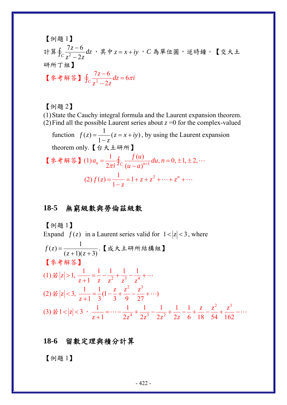[例題 1]  
計算6<sub>$$
z^2-2z
$$</sub>  
研究 $\frac{7z-6}{z^2-2z}$   
研究 $\frac{1}{z}$   
[ $\oint_c \frac{7z-6}{z^2-2z} dz = 6\pi i$ 

### 【例題 2】

(1)State the Cauchy integral formula and the Laurent expansion theorem. (2) Find all the possible Laurent series about  $z = 0$  for the complex-valued function  $f(z) = \frac{1}{1 - z}(z = x + iy)$ , by using the Laurent expansion theorem only.【台大土研所】 【参考解答】(1) $a_n = \frac{1}{2\pi i} \oint_{C_i} \frac{f(u)}{(u-a)^{n+1}} du, n = 0, \pm 1, \pm 2,$  $=\frac{1}{2\pi i}\oint_{C_i}\frac{J(u)}{(u-a)^{n+1}}du, n=0, \pm 1, \pm 2, \cdots$  $(2) f(z) = \frac{1}{1-z} = 1 + z + z^2 + \dots + z^n$  $=\frac{1}{1-z}$  = 1 + z + z<sup>2</sup> + ... + z<sup>n</sup> + ...

# **18-5** 無窮級數與勞倫茲級數

 $C_z^2 - 2$ 

【例題 1】

Expand 
$$
f(z)
$$
 in a Laurent series valid for  $1 < |z| < 3$ , where

\n
$$
f(z) = \frac{1}{(z+1)(z+3)} \cdot \mathbf{K} \, \vec{\mathbf{x}} \, \vec{\mathbf{x}} + 4\mathcal{H} \, \vec{\mathbf{m}} \, \vec{\mathbf{s}} \, \vec{\mathbf{m}} \, \mathbf{M}
$$
\n
$$
\begin{bmatrix} \n\hat{\mathbf{x}} + \hat{\mathbf{m}} \, \hat{\mathbf{x}} \\ \n\hat{\mathbf{x}} + \hat{\mathbf{m}} \, \hat{\mathbf{x}} \n\end{bmatrix}
$$
\n(1)  $\vec{\mathbf{x}} |z| > 1$ ,  $\frac{1}{z+1} = \frac{1}{z} - \frac{1}{z^2} + \frac{1}{z^3} - \frac{1}{z^4} + \cdots$ 

\n(2)  $\vec{\mathbf{x}} |z| < 3$ ,  $\frac{1}{z+1} = \frac{1}{3} \left( 1 - \frac{z}{3} + \frac{z^2}{9} - \frac{z^3}{27} + \cdots \right)$ 

\n(3)  $\vec{\mathbf{x}} |z| < 3$ ,  $\frac{1}{z+1} = \cdots - \frac{1}{2z^4} + \frac{1}{2z^3} - \frac{1}{2z^2} + \frac{1}{2z} - \frac{1}{6} + \frac{z}{18} - \frac{z^2}{54} + \frac{z^3}{162} - \cdots$ 

### **18-6** 留數定理與積分計算

【例題 1】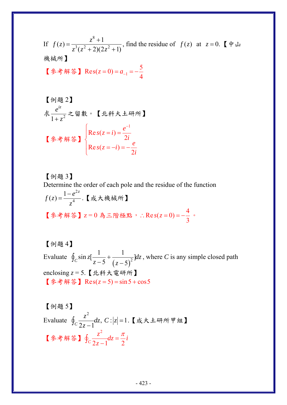If 
$$
f(z) = \frac{z^8 + 1}{z^3(z^2 + 2)(2z^2 + 1)}
$$
, find the residue of  $f(z)$  at  $z = 0$ .

[例
$$
\sqrt{\frac{e^{iz}}{1+z^2}} \approx \mathbb{S}^2 \quad \text{[} \quad \text{1:} \quad \text{[} \quad \text{[} \quad \text{[t]} \quad \text{[t]} \quad \text{[t]} \quad \text{[t]} \quad \text{[t]} \quad \text{[t]} \quad \text{[t]} \quad \text{[t]} \quad \text{[t]} \quad \text{[t]} \quad \text{[t]} \quad \text{[t]} \quad \text{[t]} \quad \text{[t]} \quad \text{[t]} \quad \text{[t]} \quad \text{[t]} \quad \text{[t]} \quad \text{[t]} \quad \text{[t]} \quad \text{[t]} \quad \text{[t]} \quad \text{[t]} \quad \text{[t]} \quad \text{[t]} \quad \text{[t]} \quad \text{[t]} \quad \text{[t]} \quad \text{[t]} \quad \text{[t]} \quad \text{[t]} \quad \text{[t]} \quad \text{[t]} \quad \text{[t]} \quad \text{[t]} \quad \text{[t]} \quad \text{[t]} \quad \text{[t]} \quad \text{[t]} \quad \text{[t]} \quad \text{[t]} \quad \text{[t]} \quad \text{[t]} \quad \text{[t]} \quad \text{[t]} \quad \text{[t]} \quad \text{[t]} \quad \text{[t]} \quad \text{[t]} \quad \text{[t]} \quad \text{[t]} \quad \text{[t]} \quad \text{[t]} \quad \text{[t]} \quad \text{[t]} \quad \text{[t]} \quad \text{[t]} \quad \text{[t]} \quad \text{[t]} \quad \text{[t]} \quad \text{[t]} \quad \text{[t]} \quad \text{[t]} \quad \text{[t]} \quad \text{[t]} \quad \text{[t]} \quad \text{[t]} \quad \text{[t]} \quad \text{[t]} \quad \text{[t]} \quad \text{[t]} \quad \text{[t]} \quad \text{[t]} \quad \text{[t]} \quad \text{[t]} \quad \text{[t]} \quad \text{[t]} \quad \text{[t]} \quad \text{[t]} \quad \text{[t]} \quad \text{[t]} \quad \text{[t]} \quad \text{[t]} \quad \text{[t]} \quad \text{[t]} \quad \text{[t]} \quad \text{[t]} \quad \text{[t
$$

【例題 3】 Determine the order of each pole and the residue of the function 2  $f(z) = \frac{1 - e^{2z}}{z^4}$ *z*  $=\frac{1-e^{2z}}{4}$ .【成大機械所】 【參考解答】z=0為三階極點, :  $\text{Res}(z=0) = -\frac{4}{3}$ ∴  $\text{Re } s(z=0) = -\frac{1}{2}$  •

【例題 4】 Evaluate  $\oint_C \sin z \left[ \frac{1}{z-5} + \frac{1}{(z-5)^2} \right] dz$ , where *C* is any simple closed path enclosing *z* = 5.【北科大電研所】 【参考解答】Res( $z = 5$ ) = sin5 + cos5

【例題 5】 Evaluate 2  $c \frac{z}{2z-1} dz, C : |z|=1$  $\frac{z^2}{z}dz$ ,  $C$  *z*  $|z|$  $\oint_C \frac{z}{2z-1}$ *dz*, *C* : |z| = 1.【成大土研所甲組】 【參考解答】 2  $c_{2z-1}$  <sup>2</sup> 2  $\frac{z^2}{d}dz = \frac{\pi}{2}i$ *z*  $\oint_C \frac{z}{2z-1} dz = \frac{\pi}{2}$